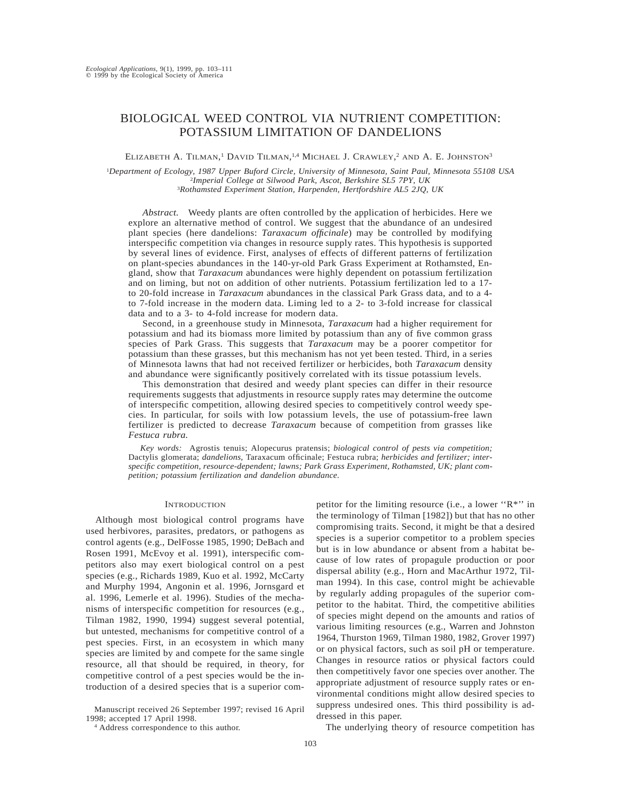# BIOLOGICAL WEED CONTROL VIA NUTRIENT COMPETITION: POTASSIUM LIMITATION OF DANDELIONS

ELIZABETH A. TILMAN,<sup>1</sup> DAVID TILMAN,<sup>1,4</sup> MICHAEL J. CRAWLEY,<sup>2</sup> AND A. E. JOHNSTON<sup>3</sup>

1 *Department of Ecology, 1987 Upper Buford Circle, University of Minnesota, Saint Paul, Minnesota 55108 USA* 2 *Imperial College at Silwood Park, Ascot, Berkshire SL5 7PY, UK* <sup>3</sup>*Rothamsted Experiment Station, Harpenden, Hertfordshire AL5 2JQ, UK*

*Abstract.* Weedy plants are often controlled by the application of herbicides. Here we explore an alternative method of control. We suggest that the abundance of an undesired plant species (here dandelions: *Taraxacum officinale*) may be controlled by modifying interspecific competition via changes in resource supply rates. This hypothesis is supported by several lines of evidence. First, analyses of effects of different patterns of fertilization on plant-species abundances in the 140-yr-old Park Grass Experiment at Rothamsted, England, show that *Taraxacum* abundances were highly dependent on potassium fertilization and on liming, but not on addition of other nutrients. Potassium fertilization led to a 17 to 20-fold increase in *Taraxacum* abundances in the classical Park Grass data, and to a 4 to 7-fold increase in the modern data. Liming led to a 2- to 3-fold increase for classical data and to a 3- to 4-fold increase for modern data.

Second, in a greenhouse study in Minnesota, *Taraxacum* had a higher requirement for potassium and had its biomass more limited by potassium than any of five common grass species of Park Grass. This suggests that *Taraxacum* may be a poorer competitor for potassium than these grasses, but this mechanism has not yet been tested. Third, in a series of Minnesota lawns that had not received fertilizer or herbicides, both *Taraxacum* density and abundance were significantly positively correlated with its tissue potassium levels.

This demonstration that desired and weedy plant species can differ in their resource requirements suggests that adjustments in resource supply rates may determine the outcome of interspecific competition, allowing desired species to competitively control weedy species. In particular, for soils with low potassium levels, the use of potassium-free lawn fertilizer is predicted to decrease *Taraxacum* because of competition from grasses like *Festuca rubra.*

*Key words:* Agrostis tenuis; Alopecurus pratensis; *biological control of pests via competition;* Dactylis glomerata; *dandelions,* Taraxacum officinale; Festuca rubra; *herbicides and fertilizer; interspecific competition, resource-dependent; lawns; Park Grass Experiment, Rothamsted, UK; plant competition; potassium fertilization and dandelion abundance.*

# **INTRODUCTION**

Although most biological control programs have used herbivores, parasites, predators, or pathogens as control agents (e.g., DelFosse 1985, 1990; DeBach and Rosen 1991, McEvoy et al. 1991), interspecific competitors also may exert biological control on a pest species (e.g., Richards 1989, Kuo et al. 1992, McCarty and Murphy 1994, Angonin et al. 1996, Jornsgard et al. 1996, Lemerle et al. 1996). Studies of the mechanisms of interspecific competition for resources (e.g., Tilman 1982, 1990, 1994) suggest several potential, but untested, mechanisms for competitive control of a pest species. First, in an ecosystem in which many species are limited by and compete for the same single resource, all that should be required, in theory, for competitive control of a pest species would be the introduction of a desired species that is a superior com-

Manuscript received 26 September 1997; revised 16 April 1998; accepted 17 April 1998.

<sup>4</sup> Address correspondence to this author.

petitor for the limiting resource (i.e., a lower ''R\*'' in the terminology of Tilman [1982]) but that has no other compromising traits. Second, it might be that a desired species is a superior competitor to a problem species but is in low abundance or absent from a habitat because of low rates of propagule production or poor dispersal ability (e.g., Horn and MacArthur 1972, Tilman 1994). In this case, control might be achievable by regularly adding propagules of the superior competitor to the habitat. Third, the competitive abilities of species might depend on the amounts and ratios of various limiting resources (e.g., Warren and Johnston 1964, Thurston 1969, Tilman 1980, 1982, Grover 1997) or on physical factors, such as soil pH or temperature. Changes in resource ratios or physical factors could then competitively favor one species over another. The appropriate adjustment of resource supply rates or environmental conditions might allow desired species to suppress undesired ones. This third possibility is addressed in this paper.

The underlying theory of resource competition has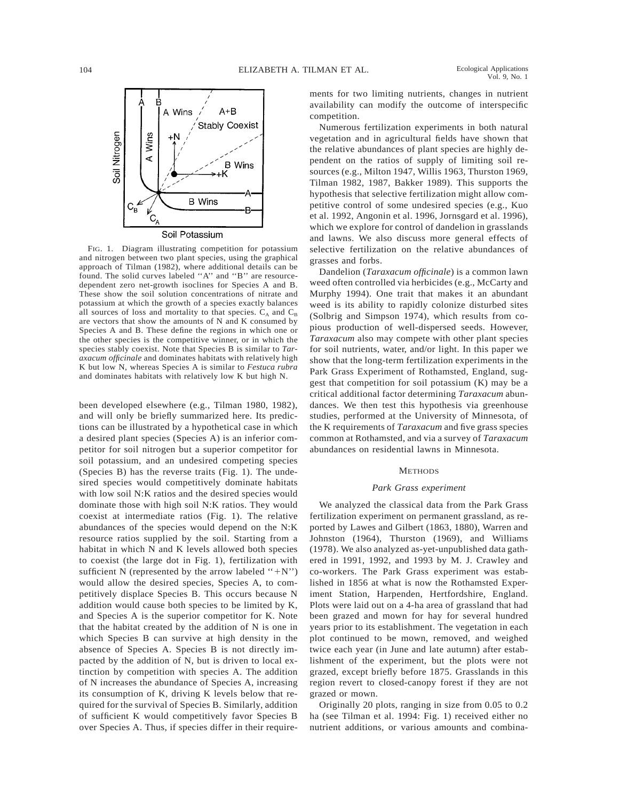

FIG. 1. Diagram illustrating competition for potassium and nitrogen between two plant species, using the graphical approach of Tilman (1982), where additional details can be found. The solid curves labeled ''A'' and ''B'' are resourcedependent zero net-growth isoclines for Species A and B. These show the soil solution concentrations of nitrate and potassium at which the growth of a species exactly balances all sources of loss and mortality to that species.  $C_A$  and  $C_B$ are vectors that show the amounts of N and K consumed by Species A and B. These define the regions in which one or the other species is the competitive winner, or in which the species stably coexist. Note that Species B is similar to *Taraxacum officinale* and dominates habitats with relatively high K but low N, whereas Species A is similar to *Festuca rubra* and dominates habitats with relatively low K but high N.

been developed elsewhere (e.g., Tilman 1980, 1982), and will only be briefly summarized here. Its predictions can be illustrated by a hypothetical case in which a desired plant species (Species A) is an inferior competitor for soil nitrogen but a superior competitor for soil potassium, and an undesired competing species (Species B) has the reverse traits (Fig. 1). The undesired species would competitively dominate habitats with low soil N:K ratios and the desired species would dominate those with high soil N:K ratios. They would coexist at intermediate ratios (Fig. 1). The relative abundances of the species would depend on the N:K resource ratios supplied by the soil. Starting from a habitat in which N and K levels allowed both species to coexist (the large dot in Fig. 1), fertilization with sufficient N (represented by the arrow labeled " $+N$ ") would allow the desired species, Species A, to competitively displace Species B. This occurs because N addition would cause both species to be limited by K, and Species A is the superior competitor for K. Note that the habitat created by the addition of N is one in which Species B can survive at high density in the absence of Species A. Species B is not directly impacted by the addition of N, but is driven to local extinction by competition with species A. The addition of N increases the abundance of Species A, increasing its consumption of K, driving K levels below that required for the survival of Species B. Similarly, addition of sufficient K would competitively favor Species B over Species A. Thus, if species differ in their requirements for two limiting nutrients, changes in nutrient availability can modify the outcome of interspecific competition.

Numerous fertilization experiments in both natural vegetation and in agricultural fields have shown that the relative abundances of plant species are highly dependent on the ratios of supply of limiting soil resources (e.g., Milton 1947, Willis 1963, Thurston 1969, Tilman 1982, 1987, Bakker 1989). This supports the hypothesis that selective fertilization might allow competitive control of some undesired species (e.g., Kuo et al. 1992, Angonin et al. 1996, Jornsgard et al. 1996), which we explore for control of dandelion in grasslands and lawns. We also discuss more general effects of selective fertilization on the relative abundances of grasses and forbs.

Dandelion (*Taraxacum officinale*) is a common lawn weed often controlled via herbicides (e.g., McCarty and Murphy 1994). One trait that makes it an abundant weed is its ability to rapidly colonize disturbed sites (Solbrig and Simpson 1974), which results from copious production of well-dispersed seeds. However, *Taraxacum* also may compete with other plant species for soil nutrients, water, and/or light. In this paper we show that the long-term fertilization experiments in the Park Grass Experiment of Rothamsted, England, suggest that competition for soil potassium (K) may be a critical additional factor determining *Taraxacum* abundances. We then test this hypothesis via greenhouse studies, performed at the University of Minnesota, of the K requirements of *Taraxacum* and five grass species common at Rothamsted, and via a survey of *Taraxacum* abundances on residential lawns in Minnesota.

#### METHODS

## *Park Grass experiment*

We analyzed the classical data from the Park Grass fertilization experiment on permanent grassland, as reported by Lawes and Gilbert (1863, 1880), Warren and Johnston (1964), Thurston (1969), and Williams (1978). We also analyzed as-yet-unpublished data gathered in 1991, 1992, and 1993 by M. J. Crawley and co-workers. The Park Grass experiment was established in 1856 at what is now the Rothamsted Experiment Station, Harpenden, Hertfordshire, England. Plots were laid out on a 4-ha area of grassland that had been grazed and mown for hay for several hundred years prior to its establishment. The vegetation in each plot continued to be mown, removed, and weighed twice each year (in June and late autumn) after establishment of the experiment, but the plots were not grazed, except briefly before 1875. Grasslands in this region revert to closed-canopy forest if they are not grazed or mown.

Originally 20 plots, ranging in size from 0.05 to 0.2 ha (see Tilman et al. 1994: Fig. 1) received either no nutrient additions, or various amounts and combina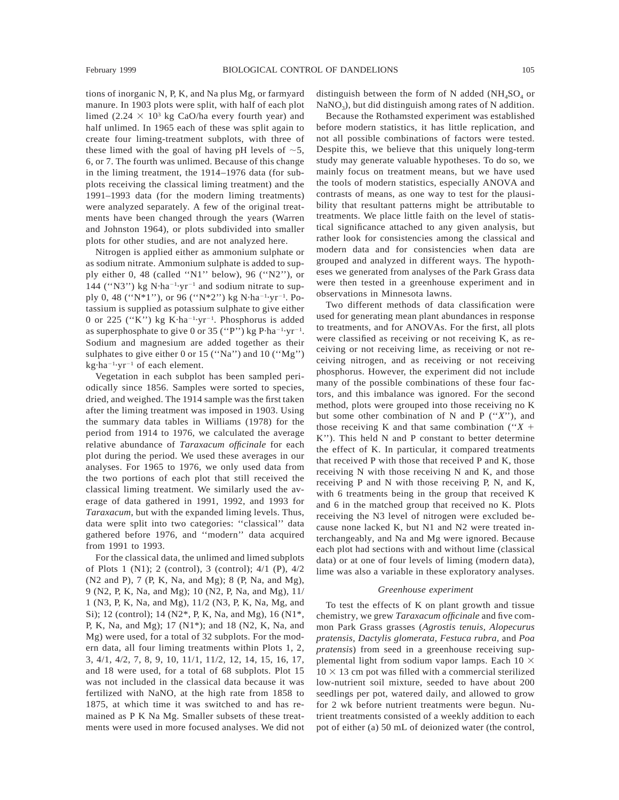tions of inorganic N, P, K, and Na plus Mg, or farmyard manure. In 1903 plots were split, with half of each plot limed (2.24  $\times$  10<sup>3</sup> kg CaO/ha every fourth year) and half unlimed. In 1965 each of these was split again to create four liming-treatment subplots, with three of these limed with the goal of having pH levels of  $\sim$ 5, 6, or 7. The fourth was unlimed. Because of this change in the liming treatment, the 1914–1976 data (for subplots receiving the classical liming treatment) and the 1991–1993 data (for the modern liming treatments) were analyzed separately. A few of the original treatments have been changed through the years (Warren and Johnston 1964), or plots subdivided into smaller plots for other studies, and are not analyzed here.

Nitrogen is applied either as ammonium sulphate or as sodium nitrate. Ammonium sulphate is added to supply either 0, 48 (called "N1" below), 96 ("N2"), or 144 ("N3") kg N·ha<sup>-1</sup>·yr<sup>-1</sup> and sodium nitrate to supply 0, 48 ("N\*1"), or 96 ("N\*2") kg N·ha<sup>-1</sup>·yr<sup>-1</sup>. Potassium is supplied as potassium sulphate to give either 0 or 225 ("K") kg K·ha<sup>-1</sup>·yr<sup>-1</sup>. Phosphorus is added as superphosphate to give 0 or 35 ("P") kg  $P \cdot ha^{-1} \cdot yr^{-1}$ . Sodium and magnesium are added together as their sulphates to give either 0 or 15 (''Na'') and 10 (''Mg'')  $kg \cdot ha^{-1} \cdot yr^{-1}$  of each element.

Vegetation in each subplot has been sampled periodically since 1856. Samples were sorted to species, dried, and weighed. The 1914 sample was the first taken after the liming treatment was imposed in 1903. Using the summary data tables in Williams (1978) for the period from 1914 to 1976, we calculated the average relative abundance of *Taraxacum officinale* for each plot during the period. We used these averages in our analyses. For 1965 to 1976, we only used data from the two portions of each plot that still received the classical liming treatment. We similarly used the average of data gathered in 1991, 1992, and 1993 for *Taraxacum,* but with the expanded liming levels. Thus, data were split into two categories: ''classical'' data gathered before 1976, and ''modern'' data acquired from 1991 to 1993.

For the classical data, the unlimed and limed subplots of Plots 1 (N1); 2 (control), 3 (control); 4/1 (P), 4/2 (N2 and P), 7 (P, K, Na, and Mg); 8 (P, Na, and Mg), 9 (N2, P, K, Na, and Mg); 10 (N2, P, Na, and Mg), 11/ 1 (N3, P, K, Na, and Mg), 11/2 (N3, P, K, Na, Mg, and Si); 12 (control); 14 (N2\*, P, K, Na, and Mg), 16 (N1\*, P, K, Na, and Mg); 17 (N1\*); and 18 (N2, K, Na, and Mg) were used, for a total of 32 subplots. For the modern data, all four liming treatments within Plots 1, 2, 3, 4/1, 4/2, 7, 8, 9, 10, 11/1, 11/2, 12, 14, 15, 16, 17, and 18 were used, for a total of 68 subplots. Plot 15 was not included in the classical data because it was fertilized with NaNO, at the high rate from 1858 to 1875, at which time it was switched to and has remained as P K Na Mg. Smaller subsets of these treatments were used in more focused analyses. We did not distinguish between the form of N added ( $NH<sub>4</sub>SO<sub>4</sub>$  or  $NaNO<sub>3</sub>$ ), but did distinguish among rates of N addition.

Because the Rothamsted experiment was established before modern statistics, it has little replication, and not all possible combinations of factors were tested. Despite this, we believe that this uniquely long-term study may generate valuable hypotheses. To do so, we mainly focus on treatment means, but we have used the tools of modern statistics, especially ANOVA and contrasts of means, as one way to test for the plausibility that resultant patterns might be attributable to treatments. We place little faith on the level of statistical significance attached to any given analysis, but rather look for consistencies among the classical and modern data and for consistencies when data are grouped and analyzed in different ways. The hypotheses we generated from analyses of the Park Grass data were then tested in a greenhouse experiment and in observations in Minnesota lawns.

Two different methods of data classification were used for generating mean plant abundances in response to treatments, and for ANOVAs. For the first, all plots were classified as receiving or not receiving K, as receiving or not receiving lime, as receiving or not receiving nitrogen, and as receiving or not receiving phosphorus. However, the experiment did not include many of the possible combinations of these four factors, and this imbalance was ignored. For the second method, plots were grouped into those receiving no K but some other combination of N and P (''*X*''), and those receiving K and that same combination  $('X +$ K''). This held N and P constant to better determine the effect of K. In particular, it compared treatments that received P with those that received P and K, those receiving N with those receiving N and K, and those receiving P and N with those receiving P, N, and K, with 6 treatments being in the group that received K and 6 in the matched group that received no K. Plots receiving the N3 level of nitrogen were excluded because none lacked K, but N1 and N2 were treated interchangeably, and Na and Mg were ignored. Because each plot had sections with and without lime (classical data) or at one of four levels of liming (modern data), lime was also a variable in these exploratory analyses.

### *Greenhouse experiment*

To test the effects of K on plant growth and tissue chemistry, we grew *Taraxacum officinale* and five common Park Grass grasses (*Agrostis tenuis, Alopecurus pratensis, Dactylis glomerata, Festuca rubra,* and *Poa pratensis*) from seed in a greenhouse receiving supplemental light from sodium vapor lamps. Each 10  $\times$  $10 \times 13$  cm pot was filled with a commercial sterilized low-nutrient soil mixture, seeded to have about 200 seedlings per pot, watered daily, and allowed to grow for 2 wk before nutrient treatments were begun. Nutrient treatments consisted of a weekly addition to each pot of either (a) 50 mL of deionized water (the control,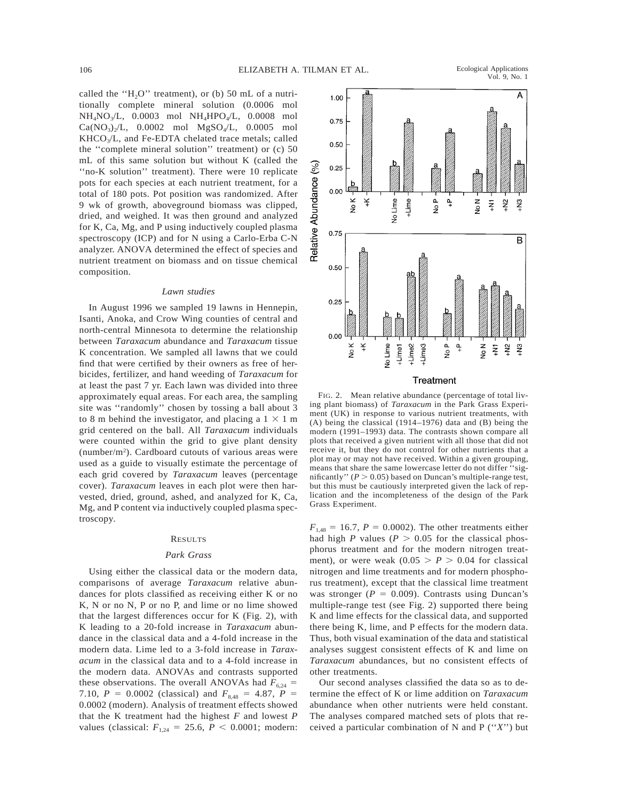Vol. 9, No. 1

called the " $H<sub>2</sub>O$ " treatment), or (b) 50 mL of a nutritionally complete mineral solution (0.0006 mol NH4NO3/L, 0.0003 mol NH4HPO4/L, 0.0008 mol  $Ca(NO_3)/L$ , 0.0002 mol  $MgSO_4/L$ , 0.0005 mol  $KHCO<sub>3</sub>/L$ , and Fe-EDTA chelated trace metals; called the ''complete mineral solution'' treatment) or (c) 50 mL of this same solution but without K (called the "no-K solution" treatment). There were 10 replicate pots for each species at each nutrient treatment, for a total of 180 pots. Pot position was randomized. After 9 wk of growth, aboveground biomass was clipped, dried, and weighed. It was then ground and analyzed for K, Ca, Mg, and P using inductively coupled plasma spectroscopy (ICP) and for N using a Carlo-Erba C-N analyzer. ANOVA determined the effect of species and nutrient treatment on biomass and on tissue chemical composition.

#### *Lawn studies*

In August 1996 we sampled 19 lawns in Hennepin, Isanti, Anoka, and Crow Wing counties of central and north-central Minnesota to determine the relationship between *Taraxacum* abundance and *Taraxacum* tissue K concentration. We sampled all lawns that we could find that were certified by their owners as free of herbicides, fertilizer, and hand weeding of *Taraxacum* for at least the past 7 yr. Each lawn was divided into three approximately equal areas. For each area, the sampling site was ''randomly'' chosen by tossing a ball about 3 to 8 m behind the investigator, and placing a  $1 \times 1$  m grid centered on the ball. All *Taraxacum* individuals were counted within the grid to give plant density (number/ $m<sup>2</sup>$ ). Cardboard cutouts of various areas were used as a guide to visually estimate the percentage of each grid covered by *Taraxacum* leaves (percentage cover). *Taraxacum* leaves in each plot were then harvested, dried, ground, ashed, and analyzed for K, Ca, Mg, and P content via inductively coupled plasma spectroscopy.

#### **RESULTS**

### *Park Grass*

Using either the classical data or the modern data, comparisons of average *Taraxacum* relative abundances for plots classified as receiving either K or no K, N or no N, P or no P, and lime or no lime showed that the largest differences occur for K (Fig. 2), with K leading to a 20-fold increase in *Taraxacum* abundance in the classical data and a 4-fold increase in the modern data. Lime led to a 3-fold increase in *Taraxacum* in the classical data and to a 4-fold increase in the modern data. ANOVAs and contrasts supported these observations. The overall ANOVAs had  $F_{6,24}$  = 7.10,  $P = 0.0002$  (classical) and  $F_{8,48} = 4.87$ ,  $P =$ 0.0002 (modern). Analysis of treatment effects showed that the K treatment had the highest *F* and lowest *P* values (classical:  $F_{1,24} = 25.6, P < 0.0001$ ; modern:



FIG. 2. Mean relative abundance (percentage of total living plant biomass) of *Taraxacum* in the Park Grass Experiment (UK) in response to various nutrient treatments, with (A) being the classical (1914–1976) data and (B) being the modern (1991–1993) data. The contrasts shown compare all plots that received a given nutrient with all those that did not receive it, but they do not control for other nutrients that a plot may or may not have received. Within a given grouping, means that share the same lowercase letter do not differ ''significantly'' ( $P > 0.05$ ) based on Duncan's multiple-range test, but this must be cautiously interpreted given the lack of replication and the incompleteness of the design of the Park Grass Experiment.

 $F_{1,48} = 16.7, P = 0.0002$ . The other treatments either had high *P* values ( $P > 0.05$  for the classical phosphorus treatment and for the modern nitrogen treatment), or were weak  $(0.05 > P > 0.04$  for classical nitrogen and lime treatments and for modern phosphorus treatment), except that the classical lime treatment was stronger ( $P = 0.009$ ). Contrasts using Duncan's multiple-range test (see Fig. 2) supported there being K and lime effects for the classical data, and supported there being K, lime, and P effects for the modern data. Thus, both visual examination of the data and statistical analyses suggest consistent effects of K and lime on *Taraxacum* abundances, but no consistent effects of other treatments.

Our second analyses classified the data so as to determine the effect of K or lime addition on *Taraxacum* abundance when other nutrients were held constant. The analyses compared matched sets of plots that received a particular combination of N and P (''*X*'') but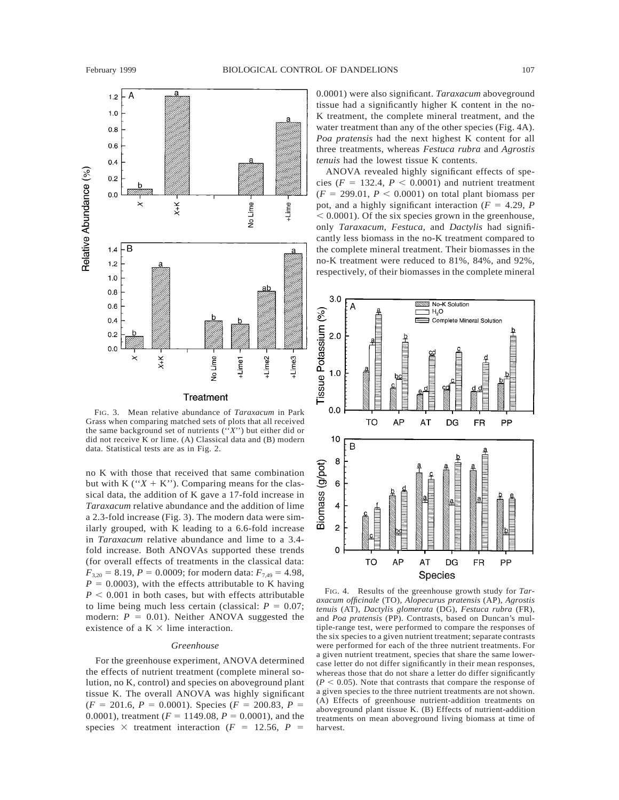

FIG. 3. Mean relative abundance of *Taraxacum* in Park Grass when comparing matched sets of plots that all received the same background set of nutrients (''*X*'') but either did or did not receive K or lime. (A) Classical data and (B) modern data. Statistical tests are as in Fig. 2.

no K with those that received that same combination but with K (" $X + K$ "). Comparing means for the classical data, the addition of K gave a 17-fold increase in *Taraxacum* relative abundance and the addition of lime a 2.3-fold increase (Fig. 3). The modern data were similarly grouped, with K leading to a 6.6-fold increase in *Taraxacum* relative abundance and lime to a 3.4 fold increase. Both ANOVAs supported these trends (for overall effects of treatments in the classical data:  $F_{3,20} = 8.19$ ,  $P = 0.0009$ ; for modern data:  $F_{7,49} = 4.98$ ,  $P = 0.0003$ , with the effects attributable to K having  $P < 0.001$  in both cases, but with effects attributable to lime being much less certain (classical:  $P = 0.07$ ; modern:  $P = 0.01$ ). Neither ANOVA suggested the existence of a  $K \times$  lime interaction.

## *Greenhouse*

For the greenhouse experiment, ANOVA determined the effects of nutrient treatment (complete mineral solution, no K, control) and species on aboveground plant tissue K. The overall ANOVA was highly significant  $(F = 201.6, P = 0.0001)$ . Species  $(F = 200.83, P = 1)$ 0.0001), treatment ( $F = 1149.08$ ,  $P = 0.0001$ ), and the species  $\times$  treatment interaction ( $F = 12.56$ ,  $P =$ 

0.0001) were also significant. *Taraxacum* aboveground tissue had a significantly higher K content in the no-K treatment, the complete mineral treatment, and the water treatment than any of the other species (Fig. 4A). *Poa pratensis* had the next highest K content for all three treatments, whereas *Festuca rubra* and *Agrostis tenuis* had the lowest tissue K contents.

ANOVA revealed highly significant effects of species ( $F = 132.4$ ,  $P < 0.0001$ ) and nutrient treatment  $(F = 299.01, P < 0.0001)$  on total plant biomass per pot, and a highly significant interaction ( $F = 4.29$ ,  $P$  $< 0.0001$ ). Of the six species grown in the greenhouse, only *Taraxacum, Festuca,* and *Dactylis* had significantly less biomass in the no-K treatment compared to the complete mineral treatment. Their biomasses in the no-K treatment were reduced to 81%, 84%, and 92%, respectively, of their biomasses in the complete mineral



FIG. 4. Results of the greenhouse growth study for *Taraxacum officinale* (TO), *Alopecurus pratensis* (AP), *Agrostis tenuis* (AT), *Dactylis glomerata* (DG), *Festuca rubra* (FR), and *Poa pratensis* (PP). Contrasts, based on Duncan's multiple-range test, were performed to compare the responses of the six species to a given nutrient treatment; separate contrasts were performed for each of the three nutrient treatments. For a given nutrient treatment, species that share the same lowercase letter do not differ significantly in their mean responses, whereas those that do not share a letter do differ significantly  $(P < 0.05)$ . Note that contrasts that compare the response of a given species to the three nutrient treatments are not shown. (A) Effects of greenhouse nutrient-addition treatments on aboveground plant tissue K. (B) Effects of nutrient-addition treatments on mean aboveground living biomass at time of harvest.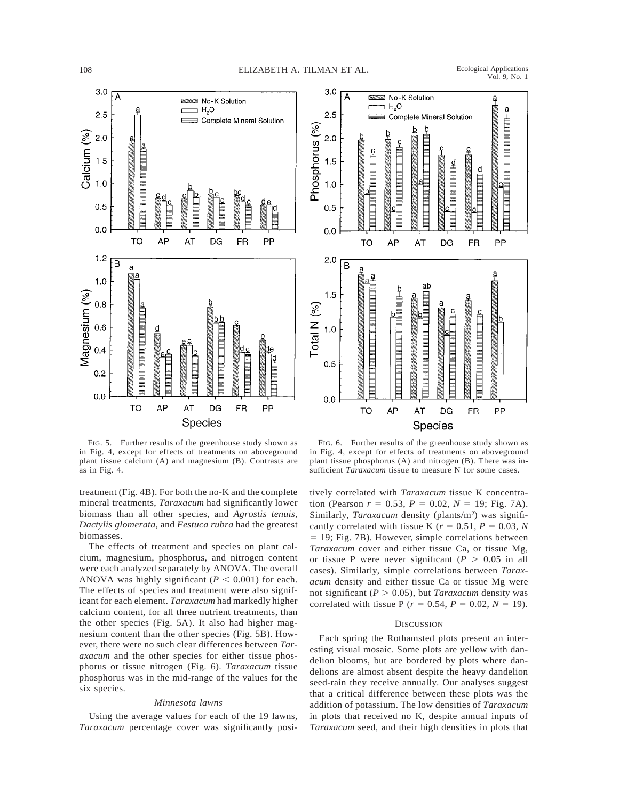



FIG. 5. Further results of the greenhouse study shown as in Fig. 4, except for effects of treatments on aboveground plant tissue calcium (A) and magnesium (B). Contrasts are as in Fig. 4.

treatment (Fig. 4B). For both the no-K and the complete mineral treatments, *Taraxacum* had significantly lower biomass than all other species, and *Agrostis tenuis, Dactylis glomerata,* and *Festuca rubra* had the greatest biomasses.

The effects of treatment and species on plant calcium, magnesium, phosphorus, and nitrogen content were each analyzed separately by ANOVA. The overall ANOVA was highly significant ( $P < 0.001$ ) for each. The effects of species and treatment were also significant for each element. *Taraxacum* had markedly higher calcium content, for all three nutrient treatments, than the other species (Fig. 5A). It also had higher magnesium content than the other species (Fig. 5B). However, there were no such clear differences between *Taraxacum* and the other species for either tissue phosphorus or tissue nitrogen (Fig. 6). *Taraxacum* tissue phosphorus was in the mid-range of the values for the six species.

#### *Minnesota lawns*

Using the average values for each of the 19 lawns, *Taraxacum* percentage cover was significantly posi-

FIG. 6. Further results of the greenhouse study shown as in Fig. 4, except for effects of treatments on aboveground plant tissue phosphorus (A) and nitrogen (B). There was insufficient *Taraxacum* tissue to measure N for some cases.

tively correlated with *Taraxacum* tissue K concentration (Pearson  $r = 0.53$ ,  $P = 0.02$ ,  $N = 19$ ; Fig. 7A). Similarly, Taraxacum density (plants/m<sup>2</sup>) was significantly correlated with tissue K ( $r = 0.51$ ,  $P = 0.03$ , N  $= 19$ ; Fig. 7B). However, simple correlations between *Taraxacum* cover and either tissue Ca, or tissue Mg, or tissue P were never significant ( $P > 0.05$  in all cases). Similarly, simple correlations between *Taraxacum* density and either tissue Ca or tissue Mg were not significant ( $P > 0.05$ ), but *Taraxacum* density was correlated with tissue P ( $r = 0.54$ ,  $P = 0.02$ ,  $N = 19$ ).

#### **DISCUSSION**

Each spring the Rothamsted plots present an interesting visual mosaic. Some plots are yellow with dandelion blooms, but are bordered by plots where dandelions are almost absent despite the heavy dandelion seed-rain they receive annually. Our analyses suggest that a critical difference between these plots was the addition of potassium. The low densities of *Taraxacum* in plots that received no K, despite annual inputs of *Taraxacum* seed, and their high densities in plots that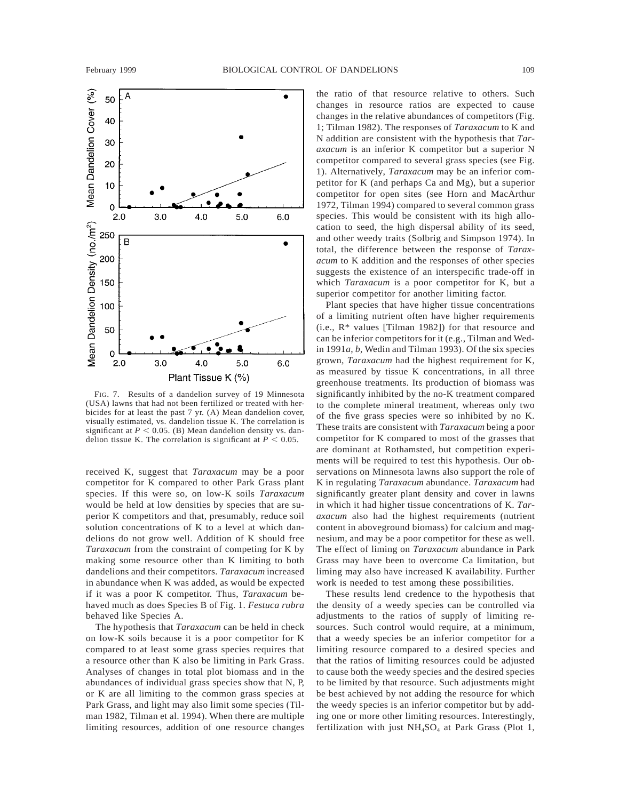

FIG. 7. Results of a dandelion survey of 19 Minnesota (USA) lawns that had not been fertilized or treated with herbicides for at least the past 7 yr. (A) Mean dandelion cover, visually estimated, vs. dandelion tissue K. The correlation is significant at  $P < 0.05$ . (B) Mean dandelion density vs. dandelion tissue K. The correlation is significant at  $P < 0.05$ .

received K, suggest that *Taraxacum* may be a poor competitor for K compared to other Park Grass plant species. If this were so, on low-K soils *Taraxacum* would be held at low densities by species that are superior K competitors and that, presumably, reduce soil solution concentrations of K to a level at which dandelions do not grow well. Addition of K should free *Taraxacum* from the constraint of competing for K by making some resource other than K limiting to both dandelions and their competitors. *Taraxacum* increased in abundance when K was added, as would be expected if it was a poor K competitor. Thus, *Taraxacum* behaved much as does Species B of Fig. 1. *Festuca rubra* behaved like Species A.

The hypothesis that *Taraxacum* can be held in check on low-K soils because it is a poor competitor for K compared to at least some grass species requires that a resource other than K also be limiting in Park Grass. Analyses of changes in total plot biomass and in the abundances of individual grass species show that N, P, or K are all limiting to the common grass species at Park Grass, and light may also limit some species (Tilman 1982, Tilman et al. 1994). When there are multiple limiting resources, addition of one resource changes the ratio of that resource relative to others. Such changes in resource ratios are expected to cause changes in the relative abundances of competitors (Fig. 1; Tilman 1982). The responses of *Taraxacum* to K and N addition are consistent with the hypothesis that *Taraxacum* is an inferior K competitor but a superior N competitor compared to several grass species (see Fig. 1). Alternatively, *Taraxacum* may be an inferior competitor for K (and perhaps Ca and Mg), but a superior competitor for open sites (see Horn and MacArthur 1972, Tilman 1994) compared to several common grass species. This would be consistent with its high allocation to seed, the high dispersal ability of its seed, and other weedy traits (Solbrig and Simpson 1974). In total, the difference between the response of *Taraxacum* to K addition and the responses of other species suggests the existence of an interspecific trade-off in which *Taraxacum* is a poor competitor for K, but a superior competitor for another limiting factor.

Plant species that have higher tissue concentrations of a limiting nutrient often have higher requirements (i.e., R\* values [Tilman 1982]) for that resource and can be inferior competitors for it (e.g., Tilman and Wedin 1991*a*, *b*, Wedin and Tilman 1993). Of the six species grown, *Taraxacum* had the highest requirement for K, as measured by tissue K concentrations, in all three greenhouse treatments. Its production of biomass was significantly inhibited by the no-K treatment compared to the complete mineral treatment, whereas only two of the five grass species were so inhibited by no K. These traits are consistent with *Taraxacum* being a poor competitor for K compared to most of the grasses that are dominant at Rothamsted, but competition experiments will be required to test this hypothesis. Our observations on Minnesota lawns also support the role of K in regulating *Taraxacum* abundance. *Taraxacum* had significantly greater plant density and cover in lawns in which it had higher tissue concentrations of K. *Taraxacum* also had the highest requirements (nutrient content in aboveground biomass) for calcium and magnesium, and may be a poor competitor for these as well. The effect of liming on *Taraxacum* abundance in Park Grass may have been to overcome Ca limitation, but liming may also have increased K availability. Further work is needed to test among these possibilities.

These results lend credence to the hypothesis that the density of a weedy species can be controlled via adjustments to the ratios of supply of limiting resources. Such control would require, at a minimum, that a weedy species be an inferior competitor for a limiting resource compared to a desired species and that the ratios of limiting resources could be adjusted to cause both the weedy species and the desired species to be limited by that resource. Such adjustments might be best achieved by not adding the resource for which the weedy species is an inferior competitor but by adding one or more other limiting resources. Interestingly, fertilization with just  $NH<sub>4</sub>SO<sub>4</sub>$  at Park Grass (Plot 1,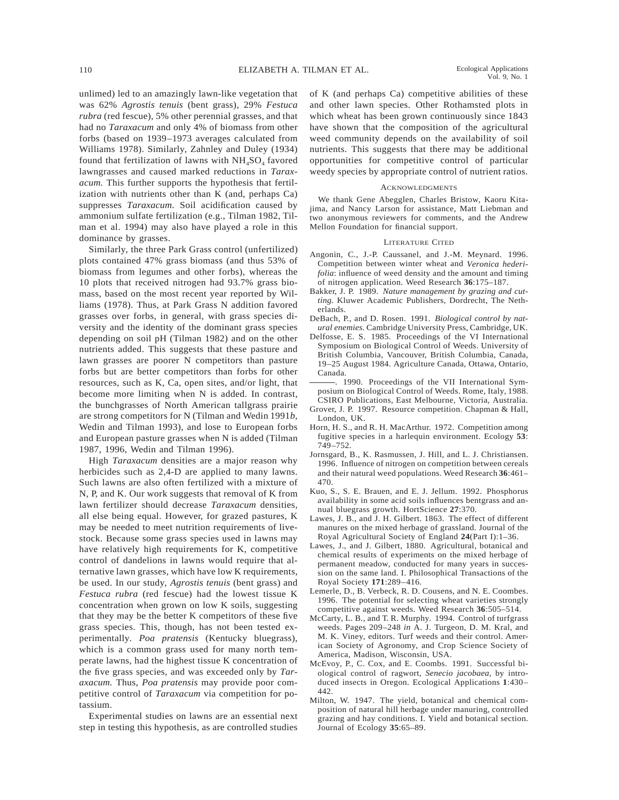unlimed) led to an amazingly lawn-like vegetation that was 62% *Agrostis tenuis* (bent grass), 29% *Festuca rubra* (red fescue), 5% other perennial grasses, and that had no *Taraxacum* and only 4% of biomass from other forbs (based on 1939–1973 averages calculated from Williams 1978). Similarly, Zahnley and Duley (1934) found that fertilization of lawns with  $NH_4SO_4$  favored lawngrasses and caused marked reductions in *Taraxacum.* This further supports the hypothesis that fertilization with nutrients other than K (and, perhaps Ca) suppresses *Taraxacum.* Soil acidification caused by ammonium sulfate fertilization (e.g., Tilman 1982, Tilman et al. 1994) may also have played a role in this dominance by grasses.

Similarly, the three Park Grass control (unfertilized) plots contained 47% grass biomass (and thus 53% of biomass from legumes and other forbs), whereas the 10 plots that received nitrogen had 93.7% grass biomass, based on the most recent year reported by Williams (1978). Thus, at Park Grass N addition favored grasses over forbs, in general, with grass species diversity and the identity of the dominant grass species depending on soil pH (Tilman 1982) and on the other nutrients added. This suggests that these pasture and lawn grasses are poorer N competitors than pasture forbs but are better competitors than forbs for other resources, such as K, Ca, open sites, and/or light, that become more limiting when N is added. In contrast, the bunchgrasses of North American tallgrass prairie are strong competitors for N (Tilman and Wedin 1991*b*, Wedin and Tilman 1993), and lose to European forbs and European pasture grasses when N is added (Tilman 1987, 1996, Wedin and Tilman 1996).

High *Taraxacum* densities are a major reason why herbicides such as 2,4-D are applied to many lawns. Such lawns are also often fertilized with a mixture of N, P, and K. Our work suggests that removal of K from lawn fertilizer should decrease *Taraxacum* densities, all else being equal. However, for grazed pastures, K may be needed to meet nutrition requirements of livestock. Because some grass species used in lawns may have relatively high requirements for K, competitive control of dandelions in lawns would require that alternative lawn grasses, which have low K requirements, be used. In our study, *Agrostis tenuis* (bent grass) and *Festuca rubra* (red fescue) had the lowest tissue K concentration when grown on low K soils, suggesting that they may be the better K competitors of these five grass species. This, though, has not been tested experimentally. *Poa pratensis* (Kentucky bluegrass), which is a common grass used for many north temperate lawns, had the highest tissue K concentration of the five grass species, and was exceeded only by *Taraxacum.* Thus, *Poa pratensis* may provide poor competitive control of *Taraxacum* via competition for potassium.

Experimental studies on lawns are an essential next step in testing this hypothesis, as are controlled studies of K (and perhaps Ca) competitive abilities of these and other lawn species. Other Rothamsted plots in which wheat has been grown continuously since 1843 have shown that the composition of the agricultural weed community depends on the availability of soil nutrients. This suggests that there may be additional opportunities for competitive control of particular weedy species by appropriate control of nutrient ratios.

#### **ACKNOWLEDGMENTS**

We thank Gene Abegglen, Charles Bristow, Kaoru Kitajima, and Nancy Larson for assistance, Matt Liebman and two anonymous reviewers for comments, and the Andrew Mellon Foundation for financial support.

#### LITERATURE CITED

- Angonin, C., J.-P. Caussanel, and J.-M. Meynard. 1996. Competition between winter wheat and *Veronica hederifolia*: influence of weed density and the amount and timing of nitrogen application. Weed Research **36**:175–187.
- Bakker, J. P. 1989. *Nature management by grazing and cutting.* Kluwer Academic Publishers, Dordrecht, The Netherlands.
- DeBach, P., and D. Rosen. 1991. *Biological control by natural enemies.* Cambridge University Press, Cambridge, UK.
- Delfosse, E. S. 1985. Proceedings of the VI International Symposium on Biological Control of Weeds. University of British Columbia, Vancouver, British Columbia, Canada, 19–25 August 1984. Agriculture Canada, Ottawa, Ontario, Canada.
- . 1990. Proceedings of the VII International Symposium on Biological Control of Weeds. Rome, Italy, 1988. CSIRO Publications, East Melbourne, Victoria, Australia.
- Grover, J. P. 1997. Resource competition. Chapman & Hall, London, UK.
- Horn, H. S., and R. H. MacArthur. 1972. Competition among fugitive species in a harlequin environment. Ecology **53**: 749–752.
- Jornsgard, B., K. Rasmussen, J. Hill, and L. J. Christiansen. 1996. Influence of nitrogen on competition between cereals and their natural weed populations. Weed Research **36**:461– 470.
- Kuo, S., S. E. Brauen, and E. J. Jellum. 1992. Phosphorus availability in some acid soils influences bentgrass and annual bluegrass growth. HortScience **27**:370.
- Lawes, J. B., and J. H. Gilbert. 1863. The effect of different manures on the mixed herbage of grassland. Journal of the Royal Agricultural Society of England **24**(Part I):1–36.
- Lawes, J., and J. Gilbert, 1880. Agricultural, botanical and chemical results of experiments on the mixed herbage of permanent meadow, conducted for many years in succession on the same land. I. Philosophical Transactions of the Royal Society **171**:289–416.
- Lemerle, D., B. Verbeck, R. D. Cousens, and N. E. Coombes. 1996. The potential for selecting wheat varieties strongly competitive against weeds. Weed Research **36**:505–514.
- McCarty, L. B., and T. R. Murphy. 1994. Control of turfgrass weeds. Pages 209–248 *in* A. J. Turgeon, D. M. Kral, and M. K. Viney, editors. Turf weeds and their control. American Society of Agronomy, and Crop Science Society of America, Madison, Wisconsin, USA.
- McEvoy, P., C. Cox, and E. Coombs. 1991. Successful biological control of ragwort, *Senecio jacobaea,* by introduced insects in Oregon. Ecological Applications **1**:430– 442.
- Milton, W. 1947. The yield, botanical and chemical composition of natural hill herbage under manuring, controlled grazing and hay conditions. I. Yield and botanical section. Journal of Ecology **35**:65–89.